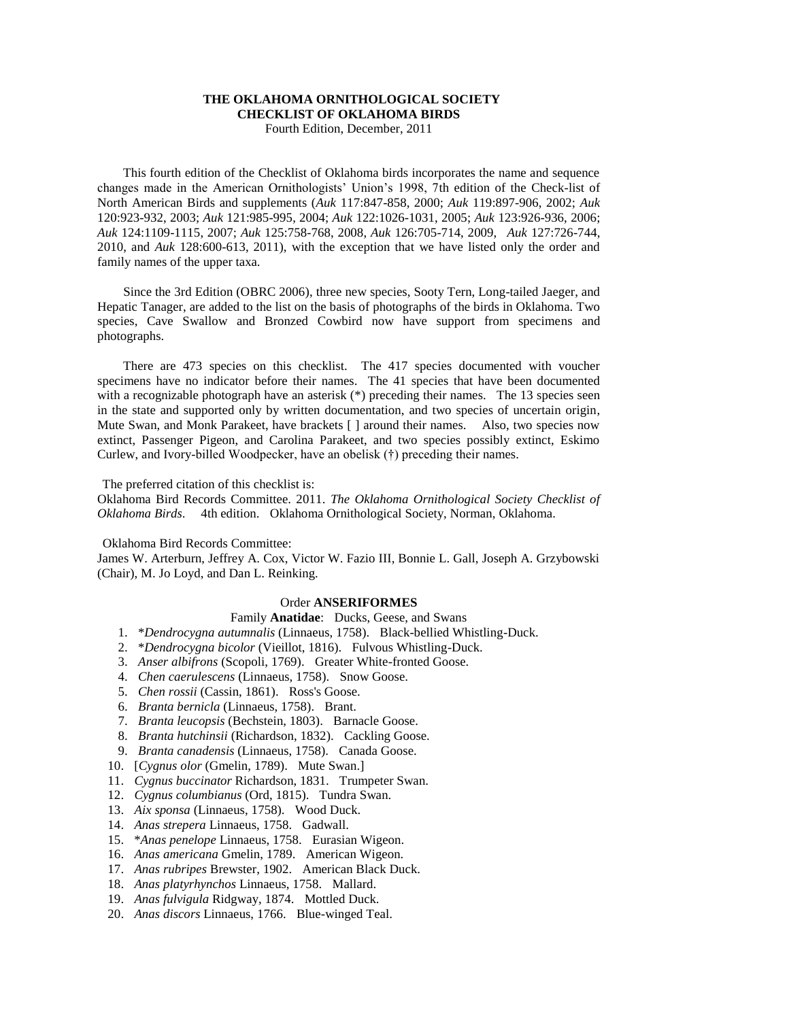# **THE OKLAHOMA ORNITHOLOGICAL SOCIETY CHECKLIST OF OKLAHOMA BIRDS**

Fourth Edition, December, 2011

 This fourth edition of the Checklist of Oklahoma birds incorporates the name and sequence changes made in the American Ornithologists' Union's 1998, 7th edition of the Check-list of North American Birds and supplements (*Auk* 117:847-858, 2000; *Auk* 119:897-906, 2002; *Auk* 120:923-932, 2003; *Auk* 121:985-995, 2004; *Auk* 122:1026-1031, 2005; *Auk* 123:926-936, 2006; *Auk* 124:1109-1115, 2007; *Auk* 125:758-768, 2008, *Auk* 126:705-714, 2009, *Auk* 127:726-744, 2010, and *Auk* 128:600-613, 2011), with the exception that we have listed only the order and family names of the upper taxa.

 Since the 3rd Edition (OBRC 2006), three new species, Sooty Tern, Long-tailed Jaeger, and Hepatic Tanager, are added to the list on the basis of photographs of the birds in Oklahoma. Two species, Cave Swallow and Bronzed Cowbird now have support from specimens and photographs.

 There are 473 species on this checklist. The 417 species documented with voucher specimens have no indicator before their names. The 41 species that have been documented with a recognizable photograph have an asterisk (\*) preceding their names. The 13 species seen in the state and supported only by written documentation, and two species of uncertain origin, Mute Swan, and Monk Parakeet, have brackets [ ] around their names. Also, two species now extinct, Passenger Pigeon, and Carolina Parakeet, and two species possibly extinct, Eskimo Curlew, and Ivory-billed Woodpecker, have an obelisk (†) preceding their names.

The preferred citation of this checklist is:

Oklahoma Bird Records Committee. 2011. *The Oklahoma Ornithological Society Checklist of Oklahoma Birds*. 4th edition. Oklahoma Ornithological Society, Norman, Oklahoma.

Oklahoma Bird Records Committee:

James W. Arterburn, Jeffrey A. Cox, Victor W. Fazio III, Bonnie L. Gall, Joseph A. Grzybowski (Chair), M. Jo Loyd, and Dan L. Reinking.

# Order **ANSERIFORMES**

# Family **Anatidae**: Ducks, Geese, and Swans

- 1. \**Dendrocygna autumnalis* (Linnaeus, 1758). Black-bellied Whistling-Duck.
- 2. \**Dendrocygna bicolor* (Vieillot, 1816). Fulvous Whistling-Duck.
- 3. *Anser albifrons* (Scopoli, 1769). Greater White-fronted Goose.
- 4. *Chen caerulescens* (Linnaeus, 1758). Snow Goose.
- 5. *Chen rossii* (Cassin, 1861). Ross's Goose.
- 6. *Branta bernicla* (Linnaeus, 1758). Brant.
- 7. *Branta leucopsis* (Bechstein, 1803). Barnacle Goose.
- 8. *Branta hutchinsii* (Richardson, 1832). Cackling Goose.
- 9. *Branta canadensis* (Linnaeus, 1758). Canada Goose.
- 10. [*Cygnus olor* (Gmelin, 1789). Mute Swan.]
- 11. *Cygnus buccinator* Richardson, 1831. Trumpeter Swan.
- 12. *Cygnus columbianus* (Ord, 1815). Tundra Swan.
- 13. *Aix sponsa* (Linnaeus, 1758). Wood Duck.
- 14. *Anas strepera* Linnaeus, 1758. Gadwall.
- 15. \**Anas penelope* Linnaeus, 1758. Eurasian Wigeon.
- 16. *Anas americana* Gmelin, 1789. American Wigeon.
- 17. *Anas rubripes* Brewster, 1902. American Black Duck.
- 18. *Anas platyrhynchos* Linnaeus, 1758. Mallard.
- 19. *Anas fulvigula* Ridgway, 1874. Mottled Duck.
- 20. *Anas discors* Linnaeus, 1766. Blue-winged Teal.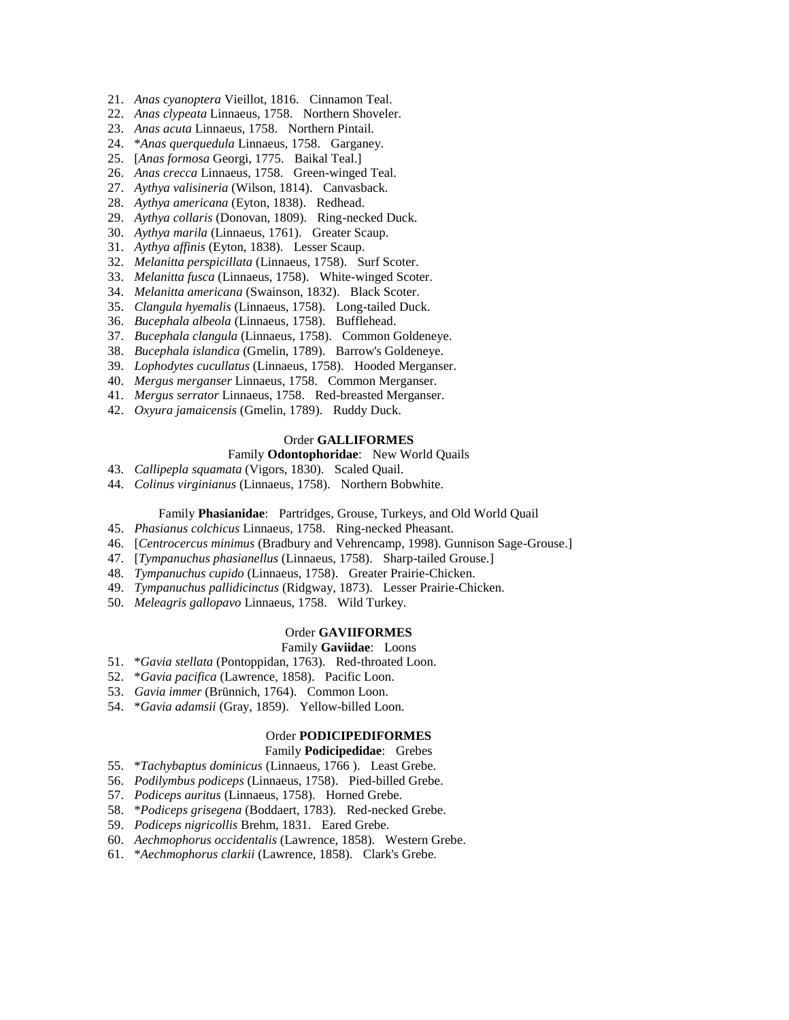- 21. *Anas cyanoptera* Vieillot, 1816. Cinnamon Teal.
- 22. *Anas clypeata* Linnaeus, 1758. Northern Shoveler.
- 23. *Anas acuta* Linnaeus, 1758. Northern Pintail.
- 24. \**Anas querquedula* Linnaeus, 1758. Garganey.
- 25. [*Anas formosa* Georgi, 1775. Baikal Teal.]
- 26. *Anas crecca* Linnaeus, 1758. Green-winged Teal.
- 27. *Aythya valisineria* (Wilson, 1814). Canvasback.
- 28. *Aythya americana* (Eyton, 1838). Redhead.
- 29. *Aythya collaris* (Donovan, 1809). Ring-necked Duck.
- 30. *Aythya marila* (Linnaeus, 1761). Greater Scaup.
- 31. *Aythya affinis* (Eyton, 1838). Lesser Scaup.
- 32. *Melanitta perspicillata* (Linnaeus, 1758). Surf Scoter.
- 33. *Melanitta fusca* (Linnaeus, 1758). White-winged Scoter.
- 34. *Melanitta americana* (Swainson, 1832). Black Scoter.
- 35. *Clangula hyemalis* (Linnaeus, 1758). Long-tailed Duck.
- 36. *Bucephala albeola* (Linnaeus, 1758). Bufflehead.
- 37. *Bucephala clangula* (Linnaeus, 1758). Common Goldeneye.
- 38. *Bucephala islandica* (Gmelin, 1789). Barrow's Goldeneye.
- 39. *Lophodytes cucullatus* (Linnaeus, 1758). Hooded Merganser.
- 40. *Mergus merganser* Linnaeus, 1758. Common Merganser.
- 41. *Mergus serrator* Linnaeus, 1758. Red-breasted Merganser.
- 42. *Oxyura jamaicensis* (Gmelin, 1789). Ruddy Duck.

# Order **GALLIFORMES**

# Family **Odontophoridae**: New World Quails

- 43. *Callipepla squamata* (Vigors, 1830). Scaled Quail.
- 44. *Colinus virginianus* (Linnaeus, 1758). Northern Bobwhite.

#### Family **Phasianidae**: Partridges, Grouse, Turkeys, and Old World Quail

- 45. *Phasianus colchicus* Linnaeus, 1758. Ring-necked Pheasant.
- 46. [*Centrocercus minimus* (Bradbury and Vehrencamp, 1998). Gunnison Sage-Grouse.]
- 47. [*Tympanuchus phasianellus* (Linnaeus, 1758). Sharp-tailed Grouse.]
- 48. *Tympanuchus cupido* (Linnaeus, 1758). Greater Prairie-Chicken.
- 49. *Tympanuchus pallidicinctus* (Ridgway, 1873). Lesser Prairie-Chicken.
- 50. *Meleagris gallopavo* Linnaeus, 1758. Wild Turkey.

### Order **GAVIIFORMES**

#### Family **Gaviidae**: Loons

- 51. \**Gavia stellata* (Pontoppidan, 1763). Red-throated Loon.
- 52. \**Gavia pacifica* (Lawrence, 1858). Pacific Loon.
- 53. *Gavia immer* (Brünnich, 1764). Common Loon.
- 54. \**Gavia adamsii* (Gray, 1859). Yellow-billed Loon.

## Order **PODICIPEDIFORMES**

#### Family **Podicipedidae**: Grebes

- 55. \**Tachybaptus dominicus* (Linnaeus, 1766 ). Least Grebe.
- 56. *Podilymbus podiceps* (Linnaeus, 1758). Pied-billed Grebe.
- 57. *Podiceps auritus* (Linnaeus, 1758). Horned Grebe.
- 58. \**Podiceps grisegena* (Boddaert, 1783). Red-necked Grebe.
- 59. *Podiceps nigricollis* Brehm, 1831. Eared Grebe.
- 60. *Aechmophorus occidentalis* (Lawrence, 1858). Western Grebe.
- 61. \**Aechmophorus clarkii* (Lawrence, 1858). Clark's Grebe.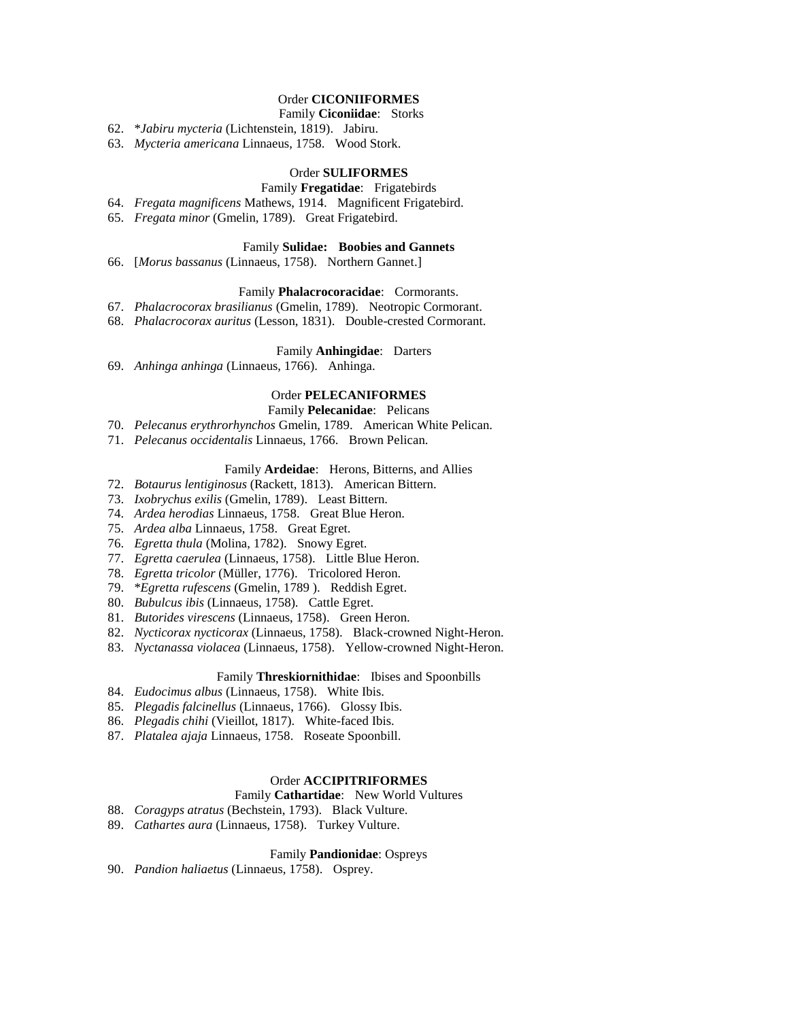# Order **CICONIIFORMES**

## Family **Ciconiidae**: Storks

62. \**Jabiru mycteria* (Lichtenstein, 1819). Jabiru.

63. *Mycteria americana* Linnaeus, 1758. Wood Stork.

## Order **SULIFORMES**

- Family **Fregatidae**: Frigatebirds
- 64. *Fregata magnificens* Mathews, 1914. Magnificent Frigatebird.
- 65. *Fregata minor* (Gmelin, 1789). Great Frigatebird.

#### Family **Sulidae: Boobies and Gannets**

66. [*Morus bassanus* (Linnaeus, 1758). Northern Gannet.]

### Family **Phalacrocoracidae**: Cormorants.

- 67. *Phalacrocorax brasilianus* (Gmelin, 1789). Neotropic Cormorant.
- 68. *Phalacrocorax auritus* (Lesson, 1831). Double-crested Cormorant.

### Family **Anhingidae**: Darters

69. *Anhinga anhinga* (Linnaeus, 1766). Anhinga.

# Order **PELECANIFORMES**

## Family **Pelecanidae**: Pelicans

- 70. *Pelecanus erythrorhynchos* Gmelin, 1789. American White Pelican.
- 71. *Pelecanus occidentalis* Linnaeus, 1766. Brown Pelican.

## Family **Ardeidae**: Herons, Bitterns, and Allies

- 72. *Botaurus lentiginosus* (Rackett, 1813). American Bittern.
- 73. *Ixobrychus exilis* (Gmelin, 1789). Least Bittern.
- 74. *Ardea herodias* Linnaeus, 1758. Great Blue Heron.
- 75. *Ardea alba* Linnaeus, 1758. Great Egret.
- 76. *Egretta thula* (Molina, 1782). Snowy Egret.
- 77. *Egretta caerulea* (Linnaeus, 1758). Little Blue Heron.
- 78. *Egretta tricolor* (Müller, 1776). Tricolored Heron.
- 79. \**Egretta rufescens* (Gmelin, 1789 ). Reddish Egret.
- 80. *Bubulcus ibis* (Linnaeus, 1758). Cattle Egret.
- 81. *Butorides virescens* (Linnaeus, 1758). Green Heron.
- 82. *Nycticorax nycticorax* (Linnaeus, 1758). Black-crowned Night-Heron.
- 83. *Nyctanassa violacea* (Linnaeus, 1758). Yellow-crowned Night-Heron.

#### Family **Threskiornithidae**: Ibises and Spoonbills

- 84. *Eudocimus albus* (Linnaeus, 1758). White Ibis.
- 85. *Plegadis falcinellus* (Linnaeus, 1766). Glossy Ibis.
- 86. *Plegadis chihi* (Vieillot, 1817). White-faced Ibis.
- 87. *Platalea ajaja* Linnaeus, 1758. Roseate Spoonbill.

# Order **ACCIPITRIFORMES**

#### Family **Cathartidae**: New World Vultures

- 88. *Coragyps atratus* (Bechstein, 1793). Black Vulture.
- 89. *Cathartes aura* (Linnaeus, 1758). Turkey Vulture.

### Family **Pandionidae**: Ospreys

90. *Pandion haliaetus* (Linnaeus, 1758). Osprey.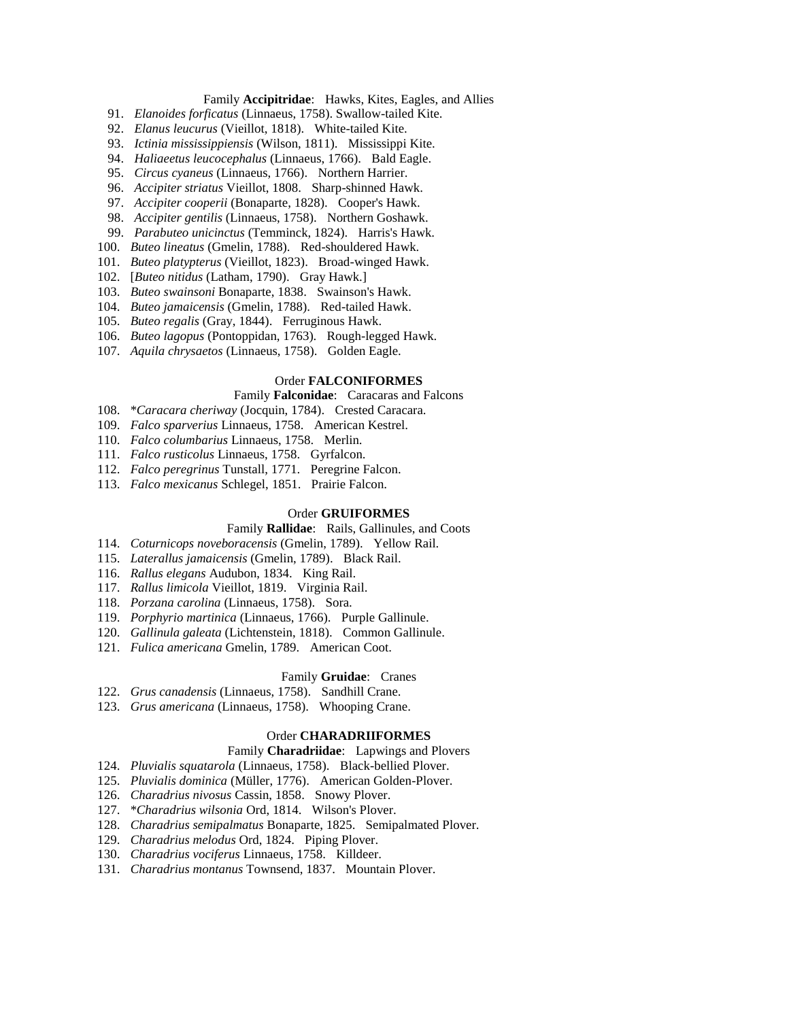## Family **Accipitridae**: Hawks, Kites, Eagles, and Allies

- 91. *Elanoides forficatus* (Linnaeus, 1758). Swallow-tailed Kite.
- 92. *Elanus leucurus* (Vieillot, 1818). White-tailed Kite.
- 93. *Ictinia mississippiensis* (Wilson, 1811). Mississippi Kite.
- 94. *Haliaeetus leucocephalus* (Linnaeus, 1766). Bald Eagle.
- 95. *Circus cyaneus* (Linnaeus, 1766). Northern Harrier.
- 96. *Accipiter striatus* Vieillot, 1808. Sharp-shinned Hawk.
- 97. *Accipiter cooperii* (Bonaparte, 1828). Cooper's Hawk.
- 98. *Accipiter gentilis* (Linnaeus, 1758). Northern Goshawk.
- 99. *Parabuteo unicinctus* (Temminck, 1824). Harris's Hawk.
- 100. *Buteo lineatus* (Gmelin, 1788). Red-shouldered Hawk.
- 101. *Buteo platypterus* (Vieillot, 1823). Broad-winged Hawk.
- 102. [*Buteo nitidus* (Latham, 1790). Gray Hawk.]
- 103. *Buteo swainsoni* Bonaparte, 1838. Swainson's Hawk.
- 104. *Buteo jamaicensis* (Gmelin, 1788). Red-tailed Hawk.
- 105. *Buteo regalis* (Gray, 1844). Ferruginous Hawk.
- 106. *Buteo lagopus* (Pontoppidan, 1763). Rough-legged Hawk.
- 107. *Aquila chrysaetos* (Linnaeus, 1758). Golden Eagle.

#### Order **FALCONIFORMES**

### Family **Falconidae**: Caracaras and Falcons

- 108. \**Caracara cheriway* (Jocquin, 1784). Crested Caracara.
- 109. *Falco sparverius* Linnaeus, 1758. American Kestrel.
- 110. *Falco columbarius* Linnaeus, 1758. Merlin.
- 111. *Falco rusticolus* Linnaeus, 1758. Gyrfalcon.
- 112. *Falco peregrinus* Tunstall, 1771. Peregrine Falcon.
- 113. *Falco mexicanus* Schlegel, 1851. Prairie Falcon.

#### Order **GRUIFORMES**

## Family **Rallidae**: Rails, Gallinules, and Coots

- 114. *Coturnicops noveboracensis* (Gmelin, 1789). Yellow Rail.
- 115. *Laterallus jamaicensis* (Gmelin, 1789). Black Rail.
- 116. *Rallus elegans* Audubon, 1834. King Rail.
- 117. *Rallus limicola* Vieillot, 1819. Virginia Rail.
- 118. *Porzana carolina* (Linnaeus, 1758). Sora.
- 119. *Porphyrio martinica* (Linnaeus, 1766). Purple Gallinule.
- 120. *Gallinula galeata* (Lichtenstein, 1818). Common Gallinule.
- 121. *Fulica americana* Gmelin, 1789. American Coot.

#### Family **Gruidae**: Cranes

- 122. *Grus canadensis* (Linnaeus, 1758). Sandhill Crane.
- 123. *Grus americana* (Linnaeus, 1758). Whooping Crane.

## Order **CHARADRIIFORMES**

### Family **Charadriidae**: Lapwings and Plovers

- 124. *Pluvialis squatarola* (Linnaeus, 1758). Black-bellied Plover.
- 125. *Pluvialis dominica* (Müller, 1776). American Golden-Plover.
- 126. *Charadrius nivosus* Cassin, 1858. Snowy Plover.
- 127. \**Charadrius wilsonia* Ord, 1814. Wilson's Plover.
- 128. *Charadrius semipalmatus* Bonaparte, 1825. Semipalmated Plover.
- 129. *Charadrius melodus* Ord, 1824. Piping Plover.
- 130. *Charadrius vociferus* Linnaeus, 1758. Killdeer.
- 131. *Charadrius montanus* Townsend, 1837. Mountain Plover.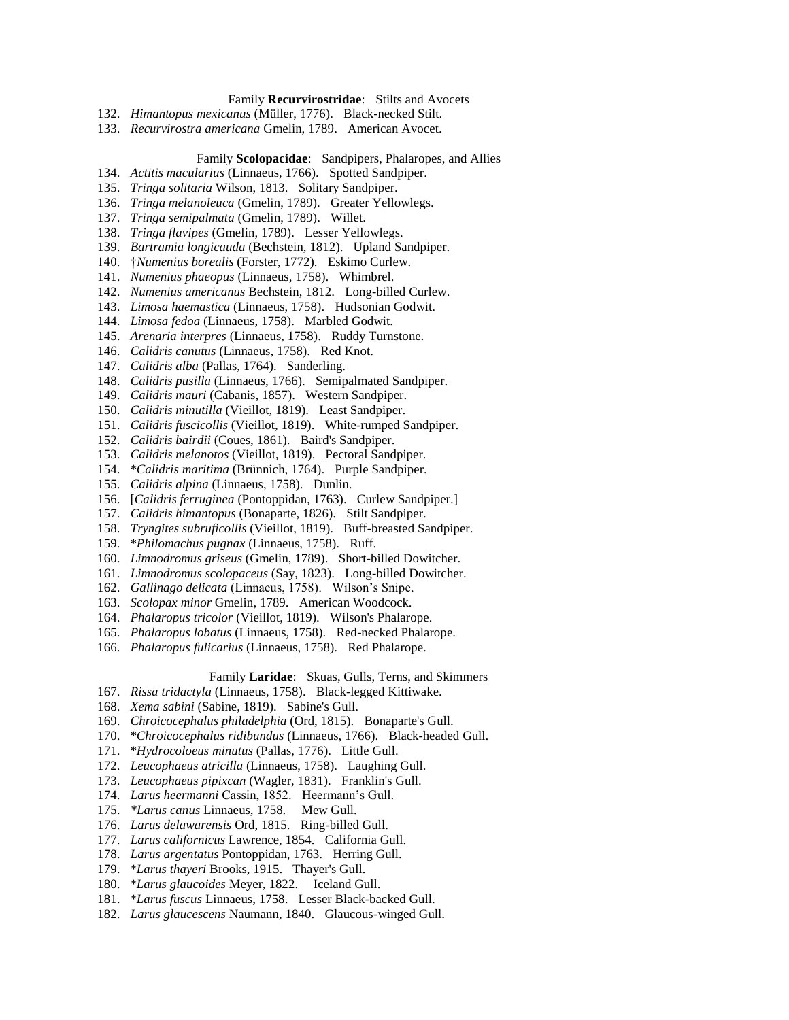# Family **Recurvirostridae**: Stilts and Avocets

- 132. *Himantopus mexicanus* (Müller, 1776). Black-necked Stilt.
- 133. *Recurvirostra americana* Gmelin, 1789. American Avocet.

### Family **Scolopacidae**: Sandpipers, Phalaropes, and Allies

- 134. *Actitis macularius* (Linnaeus, 1766). Spotted Sandpiper.
- 135. *Tringa solitaria* Wilson, 1813. Solitary Sandpiper.
- 136. *Tringa melanoleuca* (Gmelin, 1789). Greater Yellowlegs.
- 137. *Tringa semipalmata* (Gmelin, 1789). Willet.
- 138. *Tringa flavipes* (Gmelin, 1789). Lesser Yellowlegs.
- 139. *Bartramia longicauda* (Bechstein, 1812). Upland Sandpiper.
- 140. †*Numenius borealis* (Forster, 1772). Eskimo Curlew.
- 141. *Numenius phaeopus* (Linnaeus, 1758). Whimbrel.
- 142. *Numenius americanus* Bechstein, 1812. Long-billed Curlew.
- 143. *Limosa haemastica* (Linnaeus, 1758). Hudsonian Godwit.
- 144. *Limosa fedoa* (Linnaeus, 1758). Marbled Godwit.
- 145. *Arenaria interpres* (Linnaeus, 1758). Ruddy Turnstone.
- 146. *Calidris canutus* (Linnaeus, 1758). Red Knot.
- 147. *Calidris alba* (Pallas, 1764). Sanderling.
- 148. *Calidris pusilla* (Linnaeus, 1766). Semipalmated Sandpiper.
- 149. *Calidris mauri* (Cabanis, 1857). Western Sandpiper.
- 150. *Calidris minutilla* (Vieillot, 1819). Least Sandpiper.
- 151. *Calidris fuscicollis* (Vieillot, 1819). White-rumped Sandpiper.
- 152. *Calidris bairdii* (Coues, 1861). Baird's Sandpiper.
- 153. *Calidris melanotos* (Vieillot, 1819). Pectoral Sandpiper.
- 154. \**Calidris maritima* (Brünnich, 1764). Purple Sandpiper.
- 155. *Calidris alpina* (Linnaeus, 1758). Dunlin.
- 156. [*Calidris ferruginea* (Pontoppidan, 1763). Curlew Sandpiper.]
- 157. *Calidris himantopus* (Bonaparte, 1826). Stilt Sandpiper.
- 158. *Tryngites subruficollis* (Vieillot, 1819). Buff-breasted Sandpiper.
- 159. \**Philomachus pugnax* (Linnaeus, 1758). Ruff.
- 160. *Limnodromus griseus* (Gmelin, 1789). Short-billed Dowitcher.
- 161. *Limnodromus scolopaceus* (Say, 1823). Long-billed Dowitcher.
- 162. *Gallinago delicata* (Linnaeus, 1758). Wilson's Snipe.
- 163. *Scolopax minor* Gmelin, 1789. American Woodcock.
- 164. *Phalaropus tricolor* (Vieillot, 1819). Wilson's Phalarope.
- 165. *Phalaropus lobatus* (Linnaeus, 1758). Red-necked Phalarope.
- 166. *Phalaropus fulicarius* (Linnaeus, 1758). Red Phalarope.

#### Family **Laridae**: Skuas, Gulls, Terns, and Skimmers

- 167. *Rissa tridactyla* (Linnaeus, 1758). Black-legged Kittiwake.
- 168. *Xema sabini* (Sabine, 1819). Sabine's Gull.
- 169. *Chroicocephalus philadelphia* (Ord, 1815). Bonaparte's Gull.
- 170. \**Chroicocephalus ridibundus* (Linnaeus, 1766). Black-headed Gull.
- 171. \**Hydrocoloeus minutus* (Pallas, 1776). Little Gull.
- 172. *Leucophaeus atricilla* (Linnaeus, 1758). Laughing Gull.
- 173. *Leucophaeus pipixcan* (Wagler, 1831). Franklin's Gull.
- 174. *Larus heermanni* Cassin, 1852. Heermann's Gull.
- 175. *\*Larus canus* Linnaeus, 1758. Mew Gull.
- 176. *Larus delawarensis* Ord, 1815. Ring-billed Gull.
- 177. *Larus californicus* Lawrence, 1854. California Gull.
- 178. *Larus argentatus* Pontoppidan, 1763. Herring Gull.
- 179. \**Larus thayeri* Brooks, 1915. Thayer's Gull.
- 180. \**Larus glaucoides* Meyer, 1822. Iceland Gull.
- 181. \**Larus fuscus* Linnaeus, 1758. Lesser Black-backed Gull.
- 182. *Larus glaucescens* Naumann, 1840. Glaucous-winged Gull.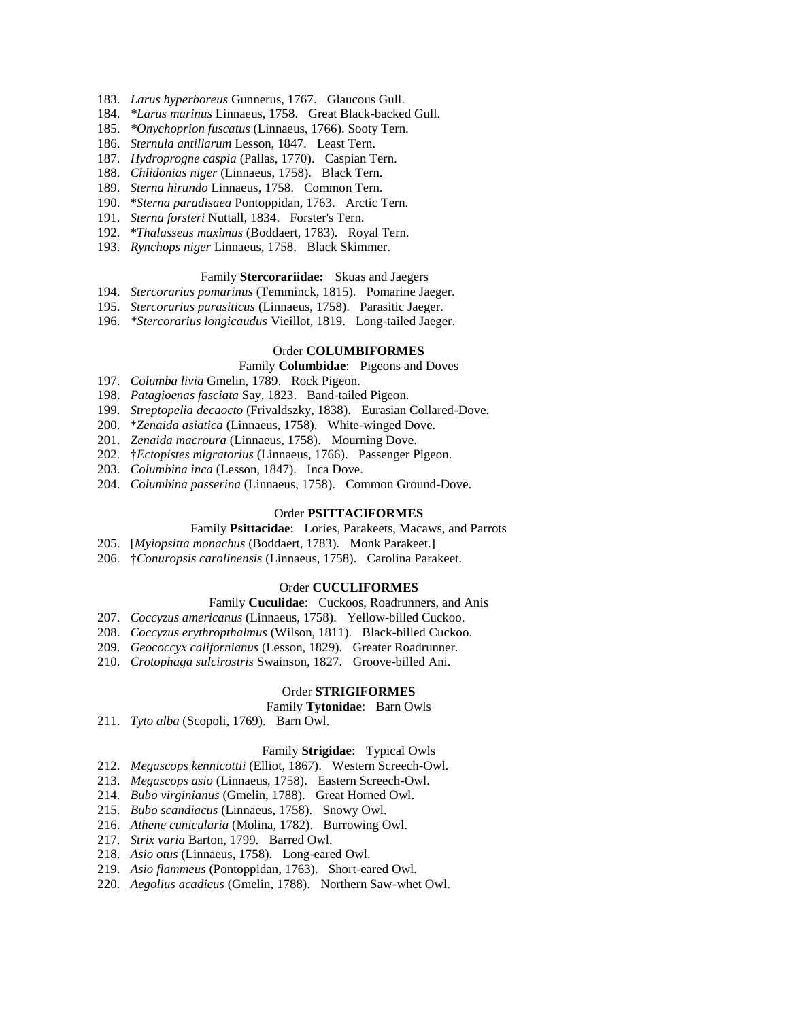- 183. *Larus hyperboreus* Gunnerus, 1767. Glaucous Gull.
- 184. *\*Larus marinus* Linnaeus, 1758. Great Black-backed Gull.
- 185. *\*Onychoprion fuscatus* (Linnaeus, 1766). Sooty Tern.
- 186. *Sternula antillarum* Lesson, 1847. Least Tern.
- 187. *Hydroprogne caspia* (Pallas, 1770). Caspian Tern.
- 188. *Chlidonias niger* (Linnaeus, 1758). Black Tern.
- 189. *Sterna hirundo* Linnaeus, 1758. Common Tern.
- 190. \**Sterna paradisaea* Pontoppidan, 1763. Arctic Tern.
- 191. *Sterna forsteri* Nuttall, 1834. Forster's Tern.
- 192. \**Thalasseus maximus* (Boddaert, 1783). Royal Tern.
- 193. *Rynchops niger* Linnaeus, 1758. Black Skimmer.

# Family **Stercorariidae:** Skuas and Jaegers

- 194. *Stercorarius pomarinus* (Temminck, 1815). Pomarine Jaeger.
- 195. *Stercorarius parasiticus* (Linnaeus, 1758). Parasitic Jaeger.
- 196. *\*Stercorarius longicaudus* Vieillot, 1819. Long-tailed Jaeger.

### Order **COLUMBIFORMES**

## Family **Columbidae**: Pigeons and Doves

- 197. *Columba livia* Gmelin, 1789. Rock Pigeon.
- 198. *Patagioenas fasciata* Say, 1823. Band-tailed Pigeon.
- 199. *Streptopelia decaocto* (Frivaldszky, 1838). Eurasian Collared-Dove.
- 200. \**Zenaida asiatica* (Linnaeus, 1758). White-winged Dove.
- 201. *Zenaida macroura* (Linnaeus, 1758). Mourning Dove.
- 202. †*Ectopistes migratorius* (Linnaeus, 1766). Passenger Pigeon.
- 203. *Columbina inca* (Lesson, 1847). Inca Dove.
- 204. *Columbina passerina* (Linnaeus, 1758). Common Ground-Dove.

### Order **PSITTACIFORMES**

Family **Psittacidae**: Lories, Parakeets, Macaws, and Parrots

- 205. [*Myiopsitta monachus* (Boddaert, 1783). Monk Parakeet.]
- 206. †*Conuropsis carolinensis* (Linnaeus, 1758). Carolina Parakeet.

### Order **CUCULIFORMES**

## Family **Cuculidae**: Cuckoos, Roadrunners, and Anis

- 207. *Coccyzus americanus* (Linnaeus, 1758). Yellow-billed Cuckoo.
- 208. *Coccyzus erythropthalmus* (Wilson, 1811). Black-billed Cuckoo.
- 209. *Geococcyx californianus* (Lesson, 1829). Greater Roadrunner.
- 210. *Crotophaga sulcirostris* Swainson, 1827. Groove-billed Ani.

### Order **STRIGIFORMES**

# Family **Tytonidae**: Barn Owls

211. *Tyto alba* (Scopoli, 1769). Barn Owl.

#### Family **Strigidae**: Typical Owls

- 212. *Megascops kennicottii* (Elliot, 1867). Western Screech-Owl.
- 213. *Megascops asio* (Linnaeus, 1758). Eastern Screech-Owl.
- 214. *Bubo virginianus* (Gmelin, 1788). Great Horned Owl.
- 215. *Bubo scandiacus* (Linnaeus, 1758). Snowy Owl.
- 216. *Athene cunicularia* (Molina, 1782). Burrowing Owl.
- 217. *Strix varia* Barton, 1799. Barred Owl.
- 218. *Asio otus* (Linnaeus, 1758). Long-eared Owl.
- 219. *Asio flammeus* (Pontoppidan, 1763). Short-eared Owl.
- 220. *Aegolius acadicus* (Gmelin, 1788). Northern Saw-whet Owl.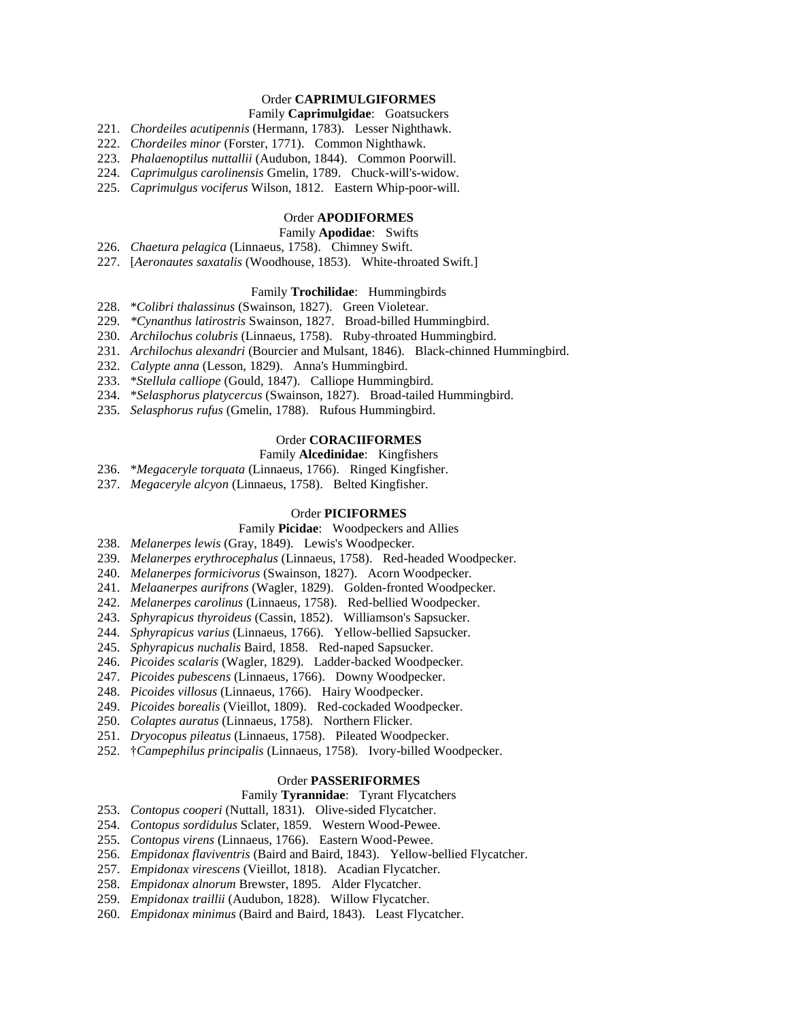# Order **CAPRIMULGIFORMES**

# Family **Caprimulgidae**: Goatsuckers

- 221. *Chordeiles acutipennis* (Hermann, 1783). Lesser Nighthawk.
- 222. *Chordeiles minor* (Forster, 1771). Common Nighthawk.
- 223. *Phalaenoptilus nuttallii* (Audubon, 1844). Common Poorwill.
- 224. *Caprimulgus carolinensis* Gmelin, 1789. Chuck-will's-widow.
- 225. *Caprimulgus vociferus* Wilson, 1812. Eastern Whip-poor-will.

### Order **APODIFORMES**

# Family **Apodidae**: Swifts

- 226. *Chaetura pelagica* (Linnaeus, 1758). Chimney Swift.
- 227. [*Aeronautes saxatalis* (Woodhouse, 1853). White-throated Swift.]

### Family **Trochilidae**: Hummingbirds

- 228. \**Colibri thalassinus* (Swainson, 1827). Green Violetear.
- 229. *\*Cynanthus latirostris* Swainson, 1827. Broad-billed Hummingbird.
- 230. *Archilochus colubris* (Linnaeus, 1758). Ruby-throated Hummingbird.
- 231. *Archilochus alexandri* (Bourcier and Mulsant, 1846). Black-chinned Hummingbird.
- 232. *Calypte anna* (Lesson, 1829). Anna's Hummingbird.
- 233. \**Stellula calliope* (Gould, 1847). Calliope Hummingbird.
- 234. \**Selasphorus platycercus* (Swainson, 1827). Broad-tailed Hummingbird.
- 235. *Selasphorus rufus* (Gmelin, 1788). Rufous Hummingbird.

# Order **CORACIIFORMES**

# Family **Alcedinidae**: Kingfishers

- 236. \**Megaceryle torquata* (Linnaeus, 1766). Ringed Kingfisher.
- 237. *Megaceryle alcyon* (Linnaeus, 1758). Belted Kingfisher.

#### Order **PICIFORMES**

- Family **Picidae**: Woodpeckers and Allies
- 238. *Melanerpes lewis* (Gray, 1849). Lewis's Woodpecker.
- 239. *Melanerpes erythrocephalus* (Linnaeus, 1758). Red-headed Woodpecker.
- 240. *Melanerpes formicivorus* (Swainson, 1827). Acorn Woodpecker.
- 241. *Melaanerpes aurifrons* (Wagler, 1829). Golden-fronted Woodpecker.
- 242. *Melanerpes carolinus* (Linnaeus, 1758). Red-bellied Woodpecker.
- 243. *Sphyrapicus thyroideus* (Cassin, 1852). Williamson's Sapsucker.
- 244. *Sphyrapicus varius* (Linnaeus, 1766). Yellow-bellied Sapsucker.
- 245. *Sphyrapicus nuchalis* Baird, 1858. Red-naped Sapsucker.
- 246. *Picoides scalaris* (Wagler, 1829). Ladder-backed Woodpecker.
- 247. *Picoides pubescens* (Linnaeus, 1766). Downy Woodpecker.
- 248. *Picoides villosus* (Linnaeus, 1766). Hairy Woodpecker.
- 249. *Picoides borealis* (Vieillot, 1809). Red-cockaded Woodpecker.
- 250. *Colaptes auratus* (Linnaeus, 1758). Northern Flicker.
- 251. *Dryocopus pileatus* (Linnaeus, 1758). Pileated Woodpecker.
- 252. †*Campephilus principalis* (Linnaeus, 1758). Ivory-billed Woodpecker.

# Order **PASSERIFORMES**

### Family **Tyrannidae**: Tyrant Flycatchers

- 253. *Contopus cooperi* (Nuttall, 1831). Olive-sided Flycatcher.
- 254. *Contopus sordidulus* Sclater, 1859. Western Wood-Pewee.
- 255. *Contopus virens* (Linnaeus, 1766). Eastern Wood-Pewee.
- 256. *Empidonax flaviventris* (Baird and Baird, 1843). Yellow-bellied Flycatcher.
- 257. *Empidonax virescens* (Vieillot, 1818). Acadian Flycatcher.
- 258. *Empidonax alnorum* Brewster, 1895. Alder Flycatcher.
- 259. *Empidonax traillii* (Audubon, 1828). Willow Flycatcher.
- 260. *Empidonax minimus* (Baird and Baird, 1843). Least Flycatcher.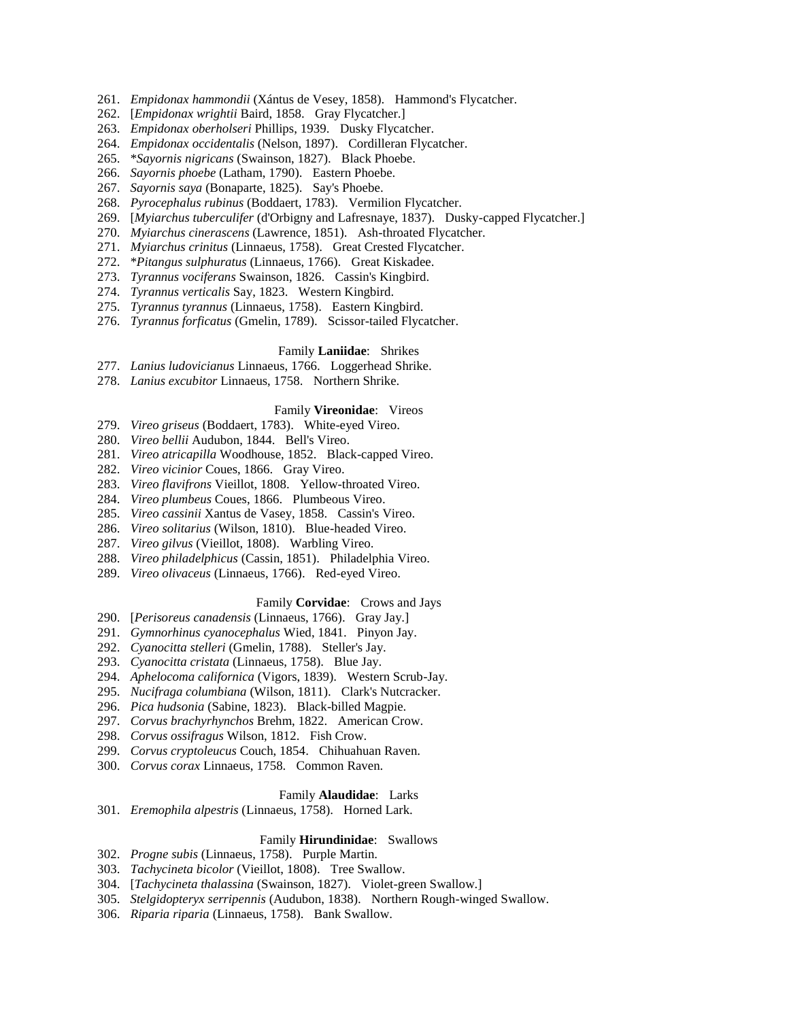- 261. *Empidonax hammondii* (Xántus de Vesey, 1858). Hammond's Flycatcher.
- 262. [*Empidonax wrightii* Baird, 1858. Gray Flycatcher.]
- 263. *Empidonax oberholseri* Phillips, 1939. Dusky Flycatcher.
- 264. *Empidonax occidentalis* (Nelson, 1897). Cordilleran Flycatcher.
- 265. \**Sayornis nigricans* (Swainson, 1827). Black Phoebe.
- 266. *Sayornis phoebe* (Latham, 1790). Eastern Phoebe.
- 267. *Sayornis saya* (Bonaparte, 1825). Say's Phoebe.
- 268. *Pyrocephalus rubinus* (Boddaert, 1783). Vermilion Flycatcher.
- 269. [*Myiarchus tuberculifer* (d'Orbigny and Lafresnaye, 1837). Dusky-capped Flycatcher.]
- 270. *Myiarchus cinerascens* (Lawrence, 1851). Ash-throated Flycatcher.
- 271. *Myiarchus crinitus* (Linnaeus, 1758). Great Crested Flycatcher.
- 272. \**Pitangus sulphuratus* (Linnaeus, 1766). Great Kiskadee.
- 273. *Tyrannus vociferans* Swainson, 1826. Cassin's Kingbird.
- 274. *Tyrannus verticalis* Say, 1823. Western Kingbird.
- 275. *Tyrannus tyrannus* (Linnaeus, 1758). Eastern Kingbird.
- 276. *Tyrannus forficatus* (Gmelin, 1789). Scissor-tailed Flycatcher.

## Family **Laniidae**: Shrikes

- 277. *Lanius ludovicianus* Linnaeus, 1766. Loggerhead Shrike.
- 278. *Lanius excubitor* Linnaeus, 1758. Northern Shrike.

#### Family **Vireonidae**: Vireos

- 279. *Vireo griseus* (Boddaert, 1783). White-eyed Vireo.
- 280. *Vireo bellii* Audubon, 1844. Bell's Vireo.
- 281. *Vireo atricapilla* Woodhouse, 1852. Black-capped Vireo.
- 282. *Vireo vicinior* Coues, 1866. Gray Vireo.
- 283. *Vireo flavifrons* Vieillot, 1808. Yellow-throated Vireo.
- 284. *Vireo plumbeus* Coues, 1866. Plumbeous Vireo.
- 285. *Vireo cassinii* Xantus de Vasey, 1858. Cassin's Vireo.
- 286. *Vireo solitarius* (Wilson, 1810). Blue-headed Vireo.
- 287. *Vireo gilvus* (Vieillot, 1808). Warbling Vireo.
- 288. *Vireo philadelphicus* (Cassin, 1851). Philadelphia Vireo.
- 289. *Vireo olivaceus* (Linnaeus, 1766). Red-eyed Vireo.

# Family **Corvidae**: Crows and Jays

- 290. [*Perisoreus canadensis* (Linnaeus, 1766). Gray Jay.]
- 291. *Gymnorhinus cyanocephalus* Wied, 1841. Pinyon Jay.
- 292. *Cyanocitta stelleri* (Gmelin, 1788). Steller's Jay.
- 293. *Cyanocitta cristata* (Linnaeus, 1758). Blue Jay.
- 294. *Aphelocoma californica* (Vigors, 1839). Western Scrub-Jay.
- 295. *Nucifraga columbiana* (Wilson, 1811). Clark's Nutcracker.
- 296. *Pica hudsonia* (Sabine, 1823). Black-billed Magpie.
- 297. *Corvus brachyrhynchos* Brehm, 1822. American Crow.
- 298. *Corvus ossifragus* Wilson, 1812. Fish Crow.
- 299. *Corvus cryptoleucus* Couch, 1854. Chihuahuan Raven.
- 300. *Corvus corax* Linnaeus, 1758. Common Raven.

#### Family **Alaudidae**: Larks

301. *Eremophila alpestris* (Linnaeus, 1758). Horned Lark.

### Family **Hirundinidae**: Swallows

- 302. *Progne subis* (Linnaeus, 1758). Purple Martin.
- 303. *Tachycineta bicolor* (Vieillot, 1808). Tree Swallow.
- 304. [*Tachycineta thalassina* (Swainson, 1827). Violet-green Swallow.]
- 305. *Stelgidopteryx serripennis* (Audubon, 1838). Northern Rough-winged Swallow.
- 306. *Riparia riparia* (Linnaeus, 1758). Bank Swallow.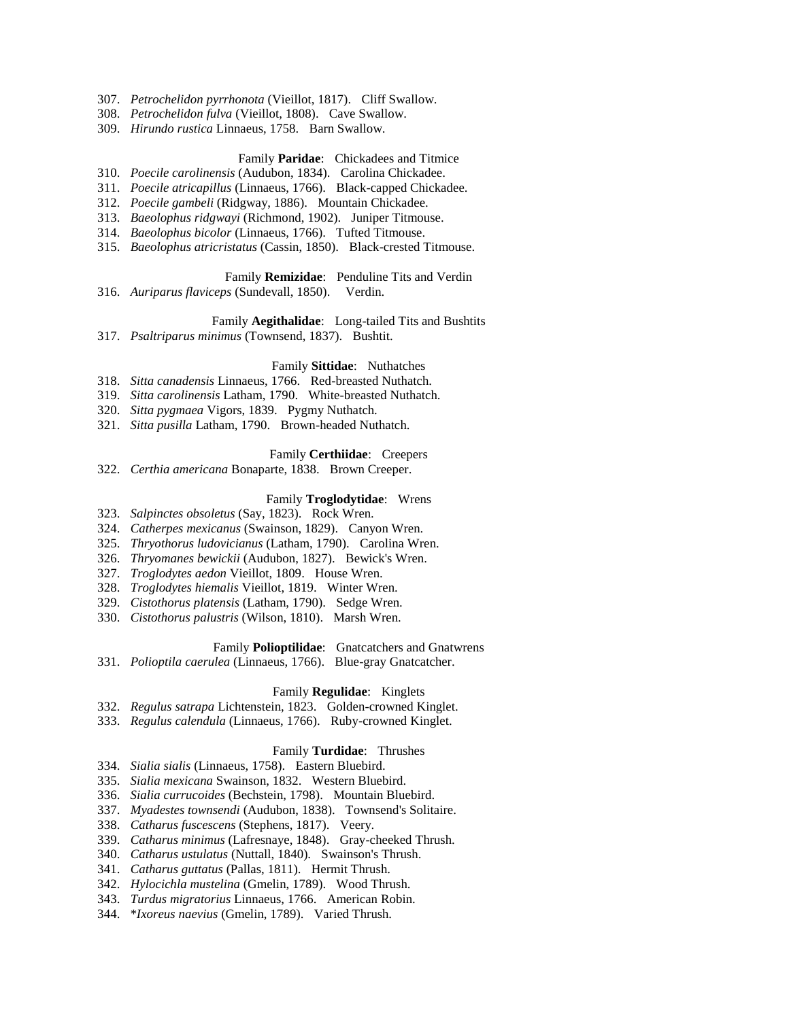- 307. *Petrochelidon pyrrhonota* (Vieillot, 1817). Cliff Swallow.
- 308. *Petrochelidon fulva* (Vieillot, 1808). Cave Swallow.
- 309. *Hirundo rustica* Linnaeus, 1758. Barn Swallow.

## Family **Paridae**: Chickadees and Titmice

- 310. *Poecile carolinensis* (Audubon, 1834). Carolina Chickadee.
- 311. *Poecile atricapillus* (Linnaeus, 1766). Black-capped Chickadee.
- 312. *Poecile gambeli* (Ridgway, 1886). Mountain Chickadee.
- 313. *Baeolophus ridgwayi* (Richmond, 1902). Juniper Titmouse.
- 314. *Baeolophus bicolor* (Linnaeus, 1766). Tufted Titmouse.
- 315. *Baeolophus atricristatus* (Cassin, 1850). Black-crested Titmouse.

# Family **Remizidae**: Penduline Tits and Verdin

316. *Auriparus flaviceps* (Sundevall, 1850). Verdin.

## Family **Aegithalidae**: Long-tailed Tits and Bushtits

317. *Psaltriparus minimus* (Townsend, 1837). Bushtit.

# Family **Sittidae**: Nuthatches

- 318. *Sitta canadensis* Linnaeus, 1766. Red-breasted Nuthatch.
- 319. *Sitta carolinensis* Latham, 1790. White-breasted Nuthatch.
- 320. *Sitta pygmaea* Vigors, 1839. Pygmy Nuthatch.
- 321. *Sitta pusilla* Latham, 1790. Brown-headed Nuthatch.

#### Family **Certhiidae**: Creepers

322. *Certhia americana* Bonaparte, 1838. Brown Creeper.

### Family **Troglodytidae**: Wrens

- 323. *Salpinctes obsoletus* (Say, 1823). Rock Wren.
- 324. *Catherpes mexicanus* (Swainson, 1829). Canyon Wren.
- 325. *Thryothorus ludovicianus* (Latham, 1790). Carolina Wren.
- 326. *Thryomanes bewickii* (Audubon, 1827). Bewick's Wren.
- 327. *Troglodytes aedon* Vieillot, 1809. House Wren.
- 328. *Troglodytes hiemalis* Vieillot, 1819. Winter Wren.
- 329. *Cistothorus platensis* (Latham, 1790). Sedge Wren.
- 330. *Cistothorus palustris* (Wilson, 1810). Marsh Wren.

# Family **Polioptilidae**: Gnatcatchers and Gnatwrens

331. *Polioptila caerulea* (Linnaeus, 1766). Blue-gray Gnatcatcher.

### Family **Regulidae**: Kinglets

- 332. *Regulus satrapa* Lichtenstein, 1823. Golden-crowned Kinglet.
- 333. *Regulus calendula* (Linnaeus, 1766). Ruby-crowned Kinglet.

#### Family **Turdidae**: Thrushes

- 334. *Sialia sialis* (Linnaeus, 1758). Eastern Bluebird.
- 335. *Sialia mexicana* Swainson, 1832. Western Bluebird.
- 336. *Sialia currucoides* (Bechstein, 1798). Mountain Bluebird.
- 337. *Myadestes townsendi* (Audubon, 1838). Townsend's Solitaire.
- 338. *Catharus fuscescens* (Stephens, 1817). Veery.
- 339. *Catharus minimus* (Lafresnaye, 1848). Gray-cheeked Thrush.
- 340. *Catharus ustulatus* (Nuttall, 1840). Swainson's Thrush.
- 341. *Catharus guttatus* (Pallas, 1811). Hermit Thrush.
- 342. *Hylocichla mustelina* (Gmelin, 1789). Wood Thrush.
- 343. *Turdus migratorius* Linnaeus, 1766. American Robin.
- 344. \**Ixoreus naevius* (Gmelin, 1789). Varied Thrush.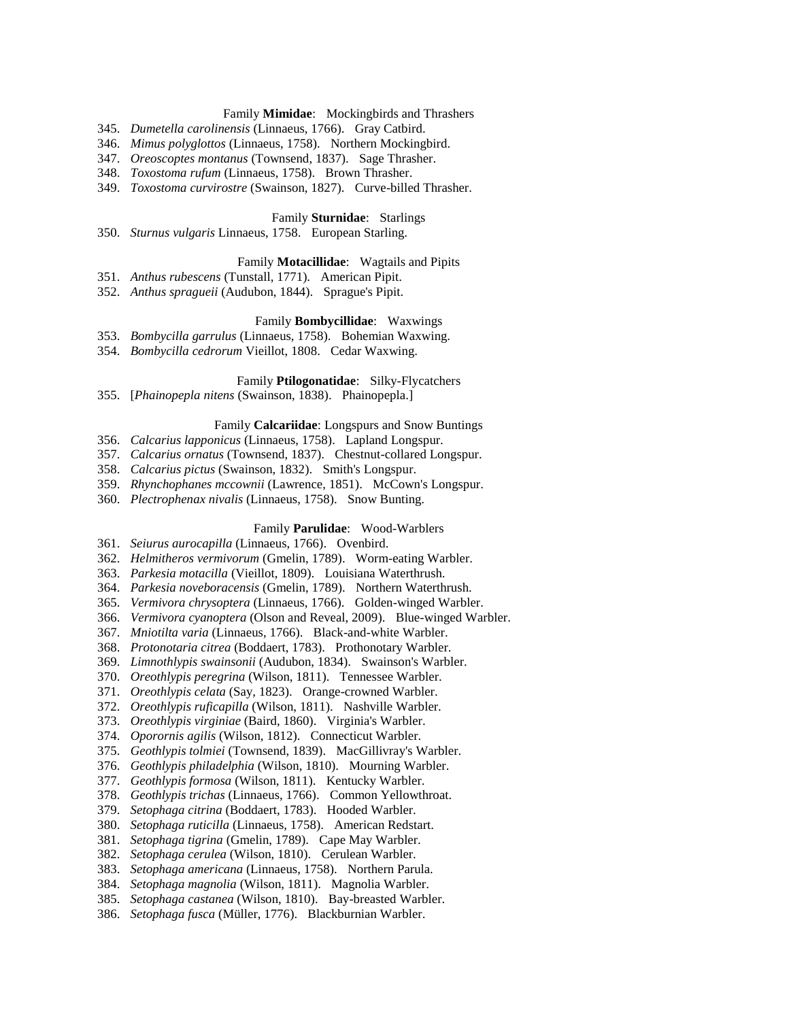## Family **Mimidae**: Mockingbirds and Thrashers

- 345. *Dumetella carolinensis* (Linnaeus, 1766). Gray Catbird.
- 346. *Mimus polyglottos* (Linnaeus, 1758). Northern Mockingbird.
- 347. *Oreoscoptes montanus* (Townsend, 1837). Sage Thrasher.
- 348. *Toxostoma rufum* (Linnaeus, 1758). Brown Thrasher.
- 349. *Toxostoma curvirostre* (Swainson, 1827). Curve-billed Thrasher.

#### Family **Sturnidae**: Starlings

350. *Sturnus vulgaris* Linnaeus, 1758. European Starling.

## Family **Motacillidae**: Wagtails and Pipits

- 351. *Anthus rubescens* (Tunstall, 1771). American Pipit.
- 352. *Anthus spragueii* (Audubon, 1844). Sprague's Pipit.

# Family **Bombycillidae**: Waxwings

- 353. *Bombycilla garrulus* (Linnaeus, 1758). Bohemian Waxwing.
- 354. *Bombycilla cedrorum* Vieillot, 1808. Cedar Waxwing.

### Family **Ptilogonatidae**: Silky-Flycatchers

355. [*Phainopepla nitens* (Swainson, 1838). Phainopepla.]

## Family **Calcariidae**: Longspurs and Snow Buntings

- 356. *Calcarius lapponicus* (Linnaeus, 1758). Lapland Longspur.
- 357. *Calcarius ornatus* (Townsend, 1837). Chestnut-collared Longspur.
- 358. *Calcarius pictus* (Swainson, 1832). Smith's Longspur.
- 359. *Rhynchophanes mccownii* (Lawrence, 1851). McCown's Longspur.
- 360. *Plectrophenax nivalis* (Linnaeus, 1758). Snow Bunting.

# Family **Parulidae**: Wood-Warblers

- 361. *Seiurus aurocapilla* (Linnaeus, 1766). Ovenbird.
- 362. *Helmitheros vermivorum* (Gmelin, 1789). Worm-eating Warbler.
- 363. *Parkesia motacilla* (Vieillot, 1809). Louisiana Waterthrush.
- 364. *Parkesia noveboracensis* (Gmelin, 1789). Northern Waterthrush.
- 365. *Vermivora chrysoptera* (Linnaeus, 1766). Golden-winged Warbler.
- 366. *Vermivora cyanoptera* (Olson and Reveal, 2009). Blue-winged Warbler.
- 367. *Mniotilta varia* (Linnaeus, 1766). Black-and-white Warbler.
- 368. *Protonotaria citrea* (Boddaert, 1783). Prothonotary Warbler.
- 369. *Limnothlypis swainsonii* (Audubon, 1834). Swainson's Warbler.
- 370. *Oreothlypis peregrina* (Wilson, 1811). Tennessee Warbler.
- 371. *Oreothlypis celata* (Say, 1823). Orange-crowned Warbler.
- 372. *Oreothlypis ruficapilla* (Wilson, 1811). Nashville Warbler.
- 373. *Oreothlypis virginiae* (Baird, 1860). Virginia's Warbler.
- 374. *Oporornis agilis* (Wilson, 1812). Connecticut Warbler.
- 375. *Geothlypis tolmiei* (Townsend, 1839). MacGillivray's Warbler.
- 376. *Geothlypis philadelphia* (Wilson, 1810). Mourning Warbler.
- 377. *Geothlypis formosa* (Wilson, 1811). Kentucky Warbler.
- 378. *Geothlypis trichas* (Linnaeus, 1766). Common Yellowthroat.
- 379. *Setophaga citrina* (Boddaert, 1783). Hooded Warbler.
- 380. *Setophaga ruticilla* (Linnaeus, 1758). American Redstart.
- 381. *Setophaga tigrina* (Gmelin, 1789). Cape May Warbler.
- 382. *Setophaga cerulea* (Wilson, 1810). Cerulean Warbler.
- 383. *Setophaga americana* (Linnaeus, 1758). Northern Parula.
- 384. *Setophaga magnolia* (Wilson, 1811). Magnolia Warbler.
- 385. *Setophaga castanea* (Wilson, 1810). Bay-breasted Warbler.
- 386. *Setophaga fusca* (Müller, 1776). Blackburnian Warbler.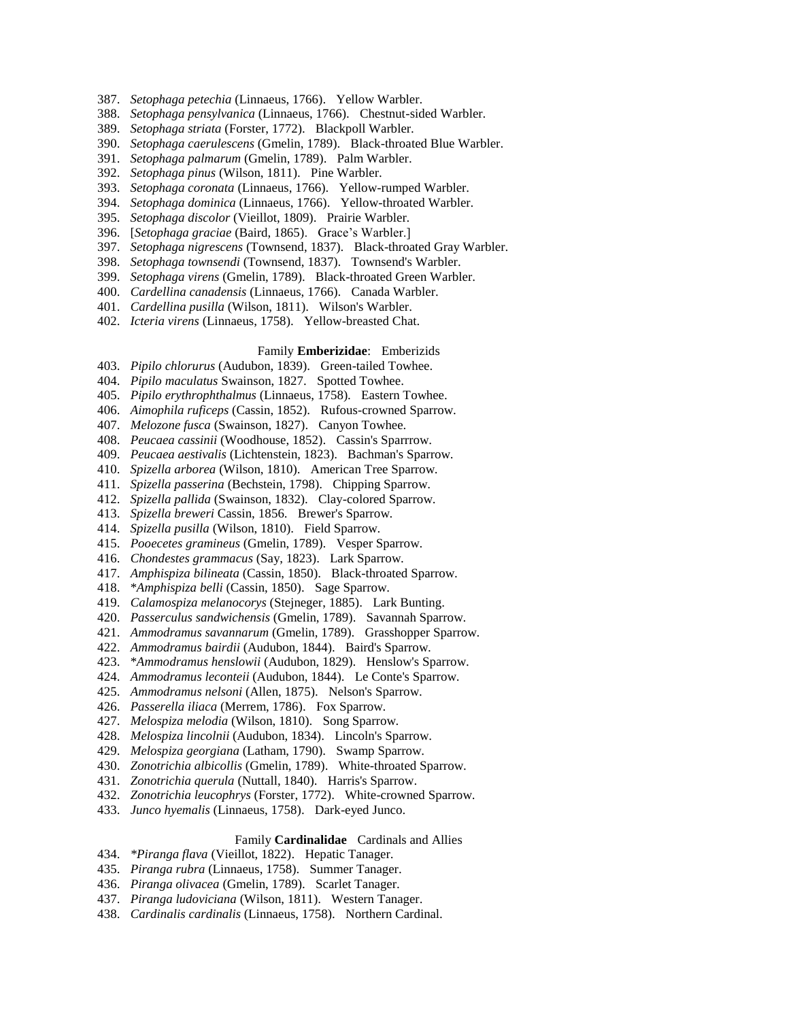- 387. *Setophaga petechia* (Linnaeus, 1766). Yellow Warbler.
- 388. *Setophaga pensylvanica* (Linnaeus, 1766). Chestnut-sided Warbler.
- 389. *Setophaga striata* (Forster, 1772). Blackpoll Warbler.
- 390. *Setophaga caerulescens* (Gmelin, 1789). Black-throated Blue Warbler.
- 391. *Setophaga palmarum* (Gmelin, 1789). Palm Warbler.
- 392. *Setophaga pinus* (Wilson, 1811). Pine Warbler.
- 393. *Setophaga coronata* (Linnaeus, 1766). Yellow-rumped Warbler.
- 394. *Setophaga dominica* (Linnaeus, 1766). Yellow-throated Warbler.
- 395. *Setophaga discolor* (Vieillot, 1809). Prairie Warbler.
- 396. [*Setophaga graciae* (Baird, 1865). Grace's Warbler.]
- 397. *Setophaga nigrescens* (Townsend, 1837). Black-throated Gray Warbler.
- 398. *Setophaga townsendi* (Townsend, 1837). Townsend's Warbler.
- 399. *Setophaga virens* (Gmelin, 1789). Black-throated Green Warbler.
- 400. *Cardellina canadensis* (Linnaeus, 1766). Canada Warbler.
- 401. *Cardellina pusilla* (Wilson, 1811). Wilson's Warbler.
- 402. *Icteria virens* (Linnaeus, 1758). Yellow-breasted Chat.

### Family **Emberizidae**: Emberizids

- 403. *Pipilo chlorurus* (Audubon, 1839). Green-tailed Towhee.
- 404. *Pipilo maculatus* Swainson, 1827. Spotted Towhee.
- 405. *Pipilo erythrophthalmus* (Linnaeus, 1758). Eastern Towhee.
- 406. *Aimophila ruficeps* (Cassin, 1852). Rufous-crowned Sparrow.
- 407. *Melozone fusca* (Swainson, 1827). Canyon Towhee.
- 408. *Peucaea cassinii* (Woodhouse, 1852). Cassin's Sparrrow.
- 409. *Peucaea aestivalis* (Lichtenstein, 1823). Bachman's Sparrow.
- 410. *Spizella arborea* (Wilson, 1810). American Tree Sparrow.
- 411. *Spizella passerina* (Bechstein, 1798). Chipping Sparrow.
- 412. *Spizella pallida* (Swainson, 1832). Clay-colored Sparrow.
- 413. *Spizella breweri* Cassin, 1856. Brewer's Sparrow.
- 414. *Spizella pusilla* (Wilson, 1810). Field Sparrow.
- 415. *Pooecetes gramineus* (Gmelin, 1789). Vesper Sparrow.
- 416. *Chondestes grammacus* (Say, 1823). Lark Sparrow.
- 417. *Amphispiza bilineata* (Cassin, 1850). Black-throated Sparrow.
- 418. \**Amphispiza belli* (Cassin, 1850). Sage Sparrow.
- 419. *Calamospiza melanocorys* (Stejneger, 1885). Lark Bunting.
- 420. *Passerculus sandwichensis* (Gmelin, 1789). Savannah Sparrow.
- 421. *Ammodramus savannarum* (Gmelin, 1789). Grasshopper Sparrow.
- 422. *Ammodramus bairdii* (Audubon, 1844). Baird's Sparrow.
- 423. \**Ammodramus henslowii* (Audubon, 1829). Henslow's Sparrow.
- 424. *Ammodramus leconteii* (Audubon, 1844). Le Conte's Sparrow.
- 425. *Ammodramus nelsoni* (Allen, 1875). Nelson's Sparrow.
- 426. *Passerella iliaca* (Merrem, 1786). Fox Sparrow.
- 427. *Melospiza melodia* (Wilson, 1810). Song Sparrow.
- 428. *Melospiza lincolnii* (Audubon, 1834). Lincoln's Sparrow.
- 429. *Melospiza georgiana* (Latham, 1790). Swamp Sparrow.
- 430. *Zonotrichia albicollis* (Gmelin, 1789). White-throated Sparrow.
- 431. *Zonotrichia querula* (Nuttall, 1840). Harris's Sparrow.
- 432. *Zonotrichia leucophrys* (Forster, 1772). White-crowned Sparrow.
- 433. *Junco hyemalis* (Linnaeus, 1758). Dark-eyed Junco.

## Family **Cardinalidae** Cardinals and Allies

- 434. *\*Piranga flava* (Vieillot, 1822). Hepatic Tanager.
- 435. *Piranga rubra* (Linnaeus, 1758). Summer Tanager.
- 436. *Piranga olivacea* (Gmelin, 1789). Scarlet Tanager.
- 437. *Piranga ludoviciana* (Wilson, 1811). Western Tanager.
- 438. *Cardinalis cardinalis* (Linnaeus, 1758). Northern Cardinal.